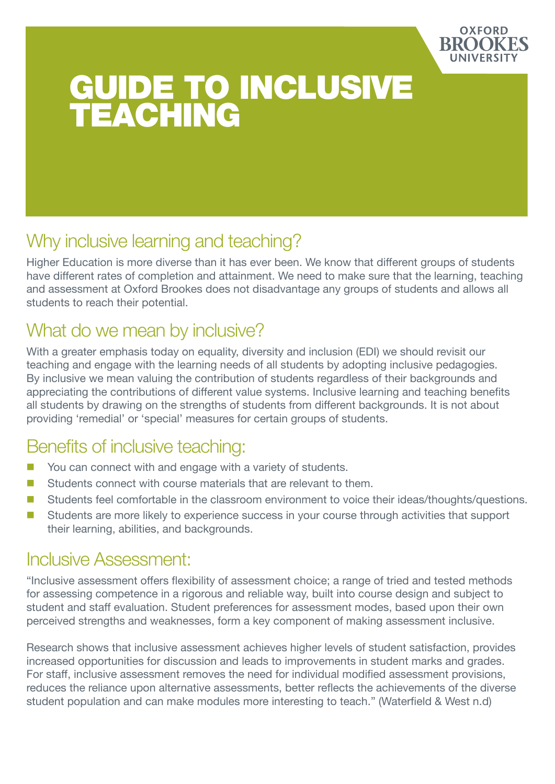

# GUIDE TO INCLUSIVE TEACHING

### Why inclusive learning and teaching?

Higher Education is more diverse than it has ever been. We know that different groups of students have different rates of completion and attainment. We need to make sure that the learning, teaching and assessment at Oxford Brookes does not disadvantage any groups of students and allows all students to reach their potential.

## What do we mean by inclusive?

With a greater emphasis today on equality, diversity and inclusion (EDI) we should revisit our teaching and engage with the learning needs of all students by adopting inclusive pedagogies. By inclusive we mean valuing the contribution of students regardless of their backgrounds and appreciating the contributions of different value systems. Inclusive learning and teaching benefits all students by drawing on the strengths of students from different backgrounds. It is not about providing 'remedial' or 'special' measures for certain groups of students.

### Benefits of inclusive teaching:

- You can connect with and engage with a variety of students.
- Students connect with course materials that are relevant to them.
- Students feel comfortable in the classroom environment to voice their ideas/thoughts/questions.
- Students are more likely to experience success in your course through activities that support their learning, abilities, and backgrounds.

#### Inclusive Assessment:

"Inclusive assessment offers flexibility of assessment choice; a range of tried and tested methods for assessing competence in a rigorous and reliable way, built into course design and subject to student and staff evaluation. Student preferences for assessment modes, based upon their own perceived strengths and weaknesses, form a key component of making assessment inclusive.

Research shows that inclusive assessment achieves higher levels of student satisfaction, provides increased opportunities for discussion and leads to improvements in student marks and grades. For staff, inclusive assessment removes the need for individual modified assessment provisions, reduces the reliance upon alternative assessments, better reflects the achievements of the diverse student population and can make modules more interesting to teach." (Waterfield & West n.d)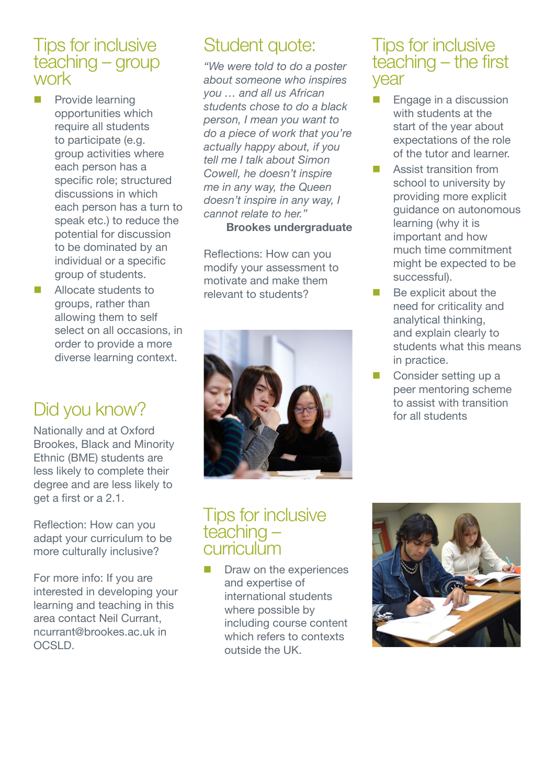#### Tips for inclusive teaching – group work

- **Provide learning** opportunities which require all students to participate (e.g. group activities where each person has a specific role; structured discussions in which each person has a turn to speak etc.) to reduce the potential for discussion to be dominated by an individual or a specific group of students.
- Allocate students to groups, rather than allowing them to self select on all occasions, in order to provide a more diverse learning context.

## Did you know?

Nationally and at Oxford Brookes, Black and Minority Ethnic (BME) students are less likely to complete their degree and are less likely to get a first or a 2.1.

Reflection: How can you adapt your curriculum to be more culturally inclusive?

For more info: If you are interested in developing your learning and teaching in this area contact Neil Currant, ncurrant@brookes.ac.uk in OCSLD.

## Student quote:

*"We were told to do a poster about someone who inspires you … and all us African students chose to do a black person, I mean you want to do a piece of work that you're actually happy about, if you tell me I talk about Simon Cowell, he doesn't inspire me in any way, the Queen doesn't inspire in any way, I cannot relate to her."* 

**Brookes undergraduate**

Reflections: How can you modify your assessment to motivate and make them relevant to students?



#### Tips for inclusive teaching – curriculum

 Draw on the experiences and expertise of international students where possible by including course content which refers to contexts outside the UK.



#### Tips for inclusive teaching – the first year

- **Engage in a discussion** with students at the start of the year about expectations of the role of the tutor and learner.
- **Assist transition from** school to university by providing more explicit guidance on autonomous learning (why it is important and how much time commitment might be expected to be successful).
- Be explicit about the need for criticality and analytical thinking, and explain clearly to students what this means in practice.
- Consider setting up a peer mentoring scheme to assist with transition for all students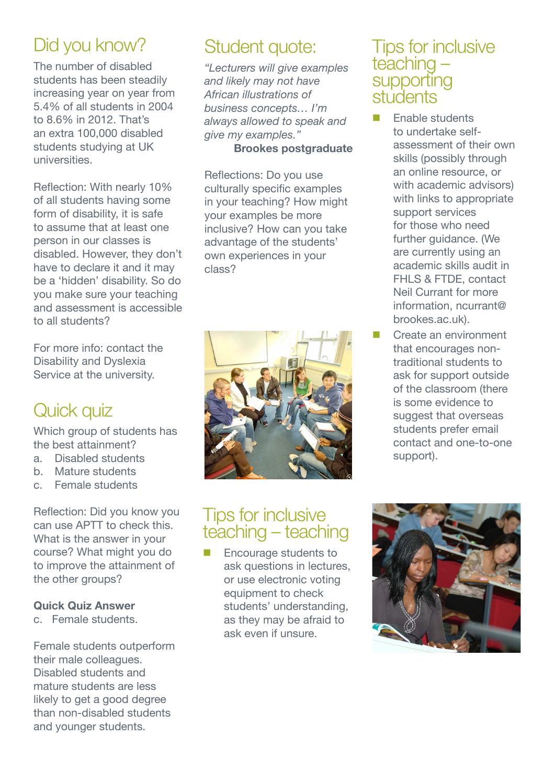## Did you know?

The number of disabled students has been steadily increasing year on year from 5.4% of all students in 2004 to 8.6% in 2012. That's an extra 100,000 disabled students studying at UK universities.

Reflection: With nearly 10% of all students having some form of disability, it is safe to assume that at least one person in our classes is disabled. However, they don't have to declare it and it may be a 'hidden' disability. So do you make sure your teaching and assessment is accessible to all students?

For more info: contact the Disability and Dyslexia Service at the university.

## Quick quiz

Which group of students has the best attainment?

- a. Disabled students
- b. Mature students
- c. Female students

Reflection: Did you know you can use APTT to check this. What is the answer in your course? What might you do to improve the attainment of the other groups?

#### **Quick Quiz Answer**

c. Female students.

Female students outperform their male colleagues. Disabled students and mature students are less likely to get a good degree than non-disabled students and younger students.

## Student quote:

*"Lecturers will give examples and likely may not have African illustrations of business concepts… I'm always allowed to speak and give my examples."* 

#### **Brookes postgraduate**

Reflections: Do you use culturally specific examples in your teaching? How might your examples be more inclusive? How can you take advantage of the students' own experiences in your class?



### Tips for inclusive teaching – teaching

**Encourage students to** ask questions in lectures, or use electronic voting equipment to check students' understanding, as they may be afraid to ask even if unsure.

#### Tips for inclusive teaching – supporting stuidents

- Enable students to undertake selfassessment of their own skills (possibly through an online resource, or with academic advisors) with links to appropriate support services for those who need further guidance. (We are currently using an academic skills audit in FHLS & FTDE, contact Neil Currant for more information, ncurrant@ brookes.ac.uk).
- Create an environment that encourages nontraditional students to ask for support outside of the classroom (there is some evidence to suggest that overseas students prefer email contact and one-to-one support).